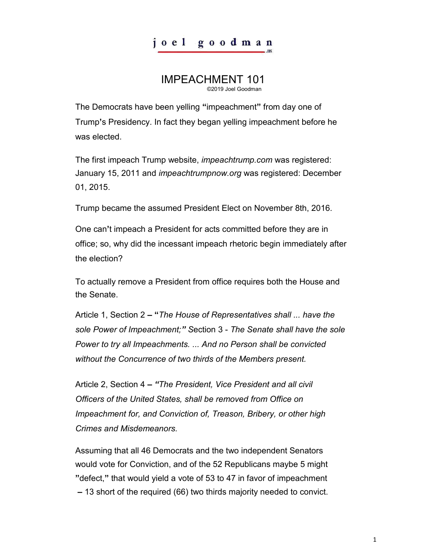## joel goodman

## IMPEACHMENT 101 ©2019 Joel Goodman

The Democrats have been yelling **"**impeachment**"** from day one of Trump**'**s Presidency. In fact they began yelling impeachment before he was elected.

The first impeach Trump website, *impeachtrump.com* was registered: January 15, 2011 and *impeachtrumpnow.org* was registered: December 01, 2015.

Trump became the assumed President Elect on November 8th, 2016.

One can**'**t impeach a President for acts committed before they are in office; so, why did the incessant impeach rhetoric begin immediately after the election?

To actually remove a President from office requires both the House and the Senate.

Article 1, Section 2 **– "***The House of Representatives shall ... have the sole Power of Impeachment;" S*ection 3 - *The Senate shall have the sole Power to try all Impeachments. ... And no Person shall be convicted without the Concurrence of two thirds of the Members present.* 

Article 2, Section 4 **–** *"The President, Vice President and all civil Officers of the United States, shall be removed from Office on Impeachment for, and Conviction of, Treason, Bribery, or other high Crimes and Misdemeanors.* 

Assuming that all 46 Democrats and the two independent Senators would vote for Conviction, and of the 52 Republicans maybe 5 might **"**defect,**"** that would yield a vote of 53 to 47 in favor of impeachment **–** 13 short of the required (66) two thirds majority needed to convict.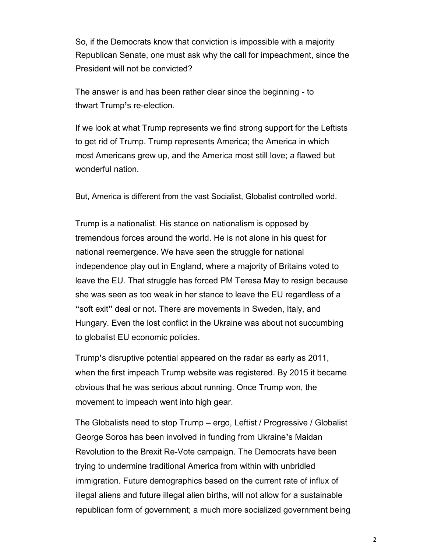So, if the Democrats know that conviction is impossible with a majority Republican Senate, one must ask why the call for impeachment, since the President will not be convicted?

The answer is and has been rather clear since the beginning - to thwart Trump**'**s re-election.

If we look at what Trump represents we find strong support for the Leftists to get rid of Trump. Trump represents America; the America in which most Americans grew up, and the America most still love; a flawed but wonderful nation.

But, America is different from the vast Socialist, Globalist controlled world.

Trump is a nationalist. His stance on nationalism is opposed by tremendous forces around the world. He is not alone in his quest for national reemergence. We have seen the struggle for national independence play out in England, where a majority of Britains voted to leave the EU. That struggle has forced PM Teresa May to resign because she was seen as too weak in her stance to leave the EU regardless of a **"**soft exit**"** deal or not. There are movements in Sweden, Italy, and Hungary. Even the lost conflict in the Ukraine was about not succumbing to globalist EU economic policies.

Trump**'**s disruptive potential appeared on the radar as early as 2011, when the first impeach Trump website was registered. By 2015 it became obvious that he was serious about running. Once Trump won, the movement to impeach went into high gear.

The Globalists need to stop Trump **–** ergo, Leftist / Progressive / Globalist George Soros has been involved in funding from Ukraine**'**s Maidan Revolution to the Brexit Re-Vote campaign. The Democrats have been trying to undermine traditional America from within with unbridled immigration. Future demographics based on the current rate of influx of illegal aliens and future illegal alien births, will not allow for a sustainable republican form of government; a much more socialized government being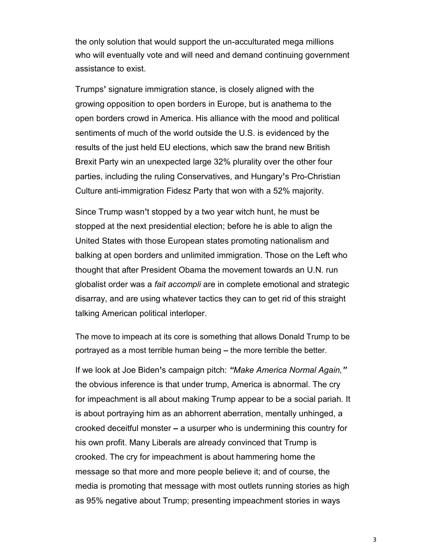the only solution that would support the un-acculturated mega millions who will eventually vote and will need and demand continuing government assistance to exist.

Trumps**'** signature immigration stance, is closely aligned with the growing opposition to open borders in Europe, but is anathema to the open borders crowd in America. His alliance with the mood and political sentiments of much of the world outside the U.S. is evidenced by the results of the just held EU elections, which saw the brand new British Brexit Party win an unexpected large 32% plurality over the other four parties, including the ruling Conservatives, and Hungary**'**s Pro-Christian Culture anti-immigration Fidesz Party that won with a 52% majority.

Since Trump wasn**'**t stopped by a two year witch hunt, he must be stopped at the next presidential election; before he is able to align the United States with those European states promoting nationalism and balking at open borders and unlimited immigration. Those on the Left who thought that after President Obama the movement towards an U.N. run globalist order was a *fait accompli* are in complete emotional and strategic disarray, and are using whatever tactics they can to get rid of this straight talking American political interloper.

The move to impeach at its core is something that allows Donald Trump to be portrayed as a most terrible human being **–** the more terrible the better.

If we look at Joe Biden**'**s campaign pitch: *"Make America Normal Again,"* the obvious inference is that under trump, America is abnormal. The cry for impeachment is all about making Trump appear to be a social pariah. It is about portraying him as an abhorrent aberration, mentally unhinged, a crooked deceitful monster **–** a usurper who is undermining this country for his own profit. Many Liberals are already convinced that Trump is crooked. The cry for impeachment is about hammering home the message so that more and more people believe it; and of course, the media is promoting that message with most outlets running stories as high as 95% negative about Trump; presenting impeachment stories in ways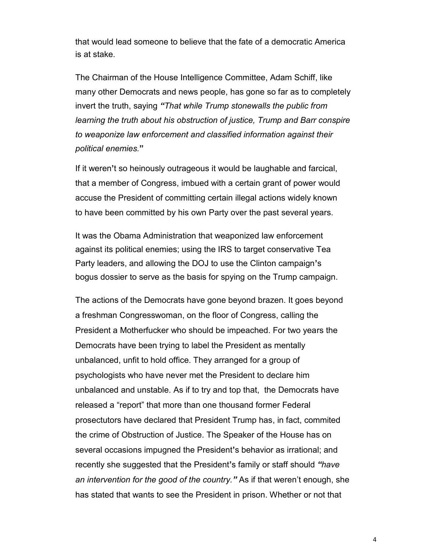that would lead someone to believe that the fate of a democratic America is at stake.

The Chairman of the House Intelligence Committee, Adam Schiff, like many other Democrats and news people, has gone so far as to completely invert the truth, saying *"That while Trump stonewalls the public from learning the truth about his obstruction of justice, Trump and Barr conspire to weaponize law enforcement and classified information against their political enemies.***"**

If it weren**'**t so heinously outrageous it would be laughable and farcical, that a member of Congress, imbued with a certain grant of power would accuse the President of committing certain illegal actions widely known to have been committed by his own Party over the past several years.

It was the Obama Administration that weaponized law enforcement against its political enemies; using the IRS to target conservative Tea Party leaders, and allowing the DOJ to use the Clinton campaign**'**s bogus dossier to serve as the basis for spying on the Trump campaign.

The actions of the Democrats have gone beyond brazen. It goes beyond a freshman Congresswoman, on the floor of Congress, calling the President a Motherfucker who should be impeached. For two years the Democrats have been trying to label the President as mentally unbalanced, unfit to hold office. They arranged for a group of psychologists who have never met the President to declare him unbalanced and unstable. As if to try and top that, the Democrats have released a "report" that more than one thousand former Federal prosectutors have declared that President Trump has, in fact, commited the crime of Obstruction of Justice. The Speaker of the House has on several occasions impugned the President**'**s behavior as irrational; and recently she suggested that the President**'**s family or staff should *"have an intervention for the good of the country."* As if that weren't enough, she has stated that wants to see the President in prison. Whether or not that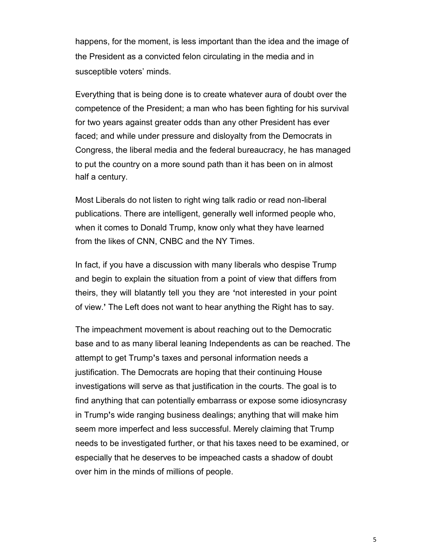happens, for the moment, is less important than the idea and the image of the President as a convicted felon circulating in the media and in susceptible voters' minds.

Everything that is being done is to create whatever aura of doubt over the competence of the President; a man who has been fighting for his survival for two years against greater odds than any other President has ever faced; and while under pressure and disloyalty from the Democrats in Congress, the liberal media and the federal bureaucracy, he has managed to put the country on a more sound path than it has been on in almost half a century.

Most Liberals do not listen to right wing talk radio or read non-liberal publications. There are intelligent, generally well informed people who, when it comes to Donald Trump, know only what they have learned from the likes of CNN, CNBC and the NY Times.

In fact, if you have a discussion with many liberals who despise Trump and begin to explain the situation from a point of view that differs from theirs, they will blatantly tell you they are **'**not interested in your point of view.**'** The Left does not want to hear anything the Right has to say.

The impeachment movement is about reaching out to the Democratic base and to as many liberal leaning Independents as can be reached. The attempt to get Trump**'**s taxes and personal information needs a justification. The Democrats are hoping that their continuing House investigations will serve as that justification in the courts. The goal is to find anything that can potentially embarrass or expose some idiosyncrasy in Trump**'**s wide ranging business dealings; anything that will make him seem more imperfect and less successful. Merely claiming that Trump needs to be investigated further, or that his taxes need to be examined, or especially that he deserves to be impeached casts a shadow of doubt over him in the minds of millions of people.